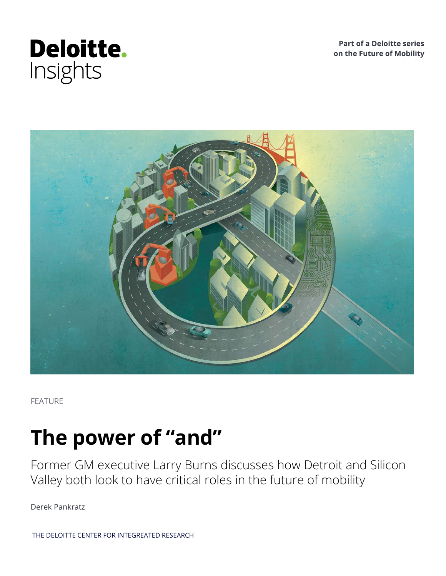

**Part of a Deloitte series on the Future of Mobility**



FEATURE

# **The power of "and"**

Former GM executive Larry Burns discusses how Detroit and Silicon Valley both look to have critical roles in the future of mobility

Derek Pankratz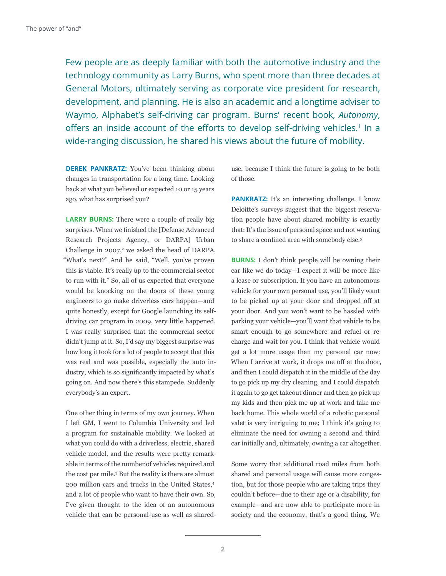Few people are as deeply familiar with both the automotive industry and the technology community as Larry Burns, who spent more than three decades at General Motors, ultimately serving as corporate vice president for research, development, and planning. He is also an academic and a longtime adviser to Waymo, Alphabet's self-driving car program. Burns' recent book, *Autonomy*, offers an inside account of the efforts to develop self-driving vehicles.<sup>1</sup> In a wide-ranging discussion, he shared his views about the future of mobility.

**DEREK PANKRATZ:** You've been thinking about changes in transportation for a long time. Looking back at what you believed or expected 10 or 15 years ago, what has surprised you?

**LARRY BURNS:** There were a couple of really big surprises. When we finished the [Defense Advanced Research Projects Agency, or DARPA] Urban Challenge in  $2007$ ,<sup>2</sup> we asked the head of DARPA, "What's next?" And he said, "Well, you've proven this is viable. It's really up to the commercial sector to run with it." So, all of us expected that everyone would be knocking on the doors of these young engineers to go make driverless cars happen—and quite honestly, except for Google launching its selfdriving car program in 2009, very little happened. I was really surprised that the commercial sector didn't jump at it. So, I'd say my biggest surprise was how long it took for a lot of people to accept that this was real and was possible, especially the auto industry, which is so significantly impacted by what's going on. And now there's this stampede. Suddenly everybody's an expert.

One other thing in terms of my own journey. When I left GM, I went to Columbia University and led a program for sustainable mobility. We looked at what you could do with a driverless, electric, shared vehicle model, and the results were pretty remarkable in terms of the number of vehicles required and the cost per mile.3 But the reality is there are almost 200 million cars and trucks in the United States,<sup>4</sup> and a lot of people who want to have their own. So, I've given thought to the idea of an autonomous vehicle that can be personal-use as well as shareduse, because I think the future is going to be both of those.

**PANKRATZ:** It's an interesting challenge. I know Deloitte's surveys suggest that the biggest reservation people have about shared mobility is exactly that: It's the issue of personal space and not wanting to share a confined area with somebody else.<sup>5</sup>

**BURNS:** I don't think people will be owning their car like we do today—I expect it will be more like a lease or subscription. If you have an autonomous vehicle for your own personal use, you'll likely want to be picked up at your door and dropped off at your door. And you won't want to be hassled with parking your vehicle—you'll want that vehicle to be smart enough to go somewhere and refuel or recharge and wait for you. I think that vehicle would get a lot more usage than my personal car now: When I arrive at work, it drops me off at the door, and then I could dispatch it in the middle of the day to go pick up my dry cleaning, and I could dispatch it again to go get takeout dinner and then go pick up my kids and then pick me up at work and take me back home. This whole world of a robotic personal valet is very intriguing to me; I think it's going to eliminate the need for owning a second and third car initially and, ultimately, owning a car altogether.

Some worry that additional road miles from both shared and personal usage will cause more congestion, but for those people who are taking trips they couldn't before—due to their age or a disability, for example—and are now able to participate more in society and the economy, that's a good thing. We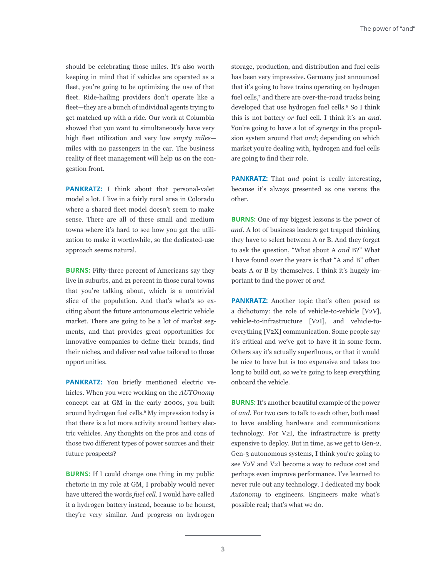should be celebrating those miles. It's also worth keeping in mind that if vehicles are operated as a fleet, you're going to be optimizing the use of that fleet. Ride-hailing providers don't operate like a fleet—they are a bunch of individual agents trying to get matched up with a ride. Our work at Columbia showed that you want to simultaneously have very high fleet utilization and very low *empty miles* miles with no passengers in the car. The business reality of fleet management will help us on the congestion front.

**PANKRATZ:** I think about that personal-valet model a lot. I live in a fairly rural area in Colorado where a shared fleet model doesn't seem to make sense. There are all of these small and medium towns where it's hard to see how you get the utilization to make it worthwhile, so the dedicated-use approach seems natural.

**BURNS:** Fifty-three percent of Americans say they live in suburbs, and 21 percent in those rural towns that you're talking about, which is a nontrivial slice of the population. And that's what's so exciting about the future autonomous electric vehicle market. There are going to be a lot of market segments, and that provides great opportunities for innovative companies to define their brands, find their niches, and deliver real value tailored to those opportunities.

**PANKRATZ:** You briefly mentioned electric vehicles. When you were working on the *AUTOnomy*  concept car at GM in the early 2000s, you built around hydrogen fuel cells.<sup>6</sup> My impression today is that there is a lot more activity around battery electric vehicles. Any thoughts on the pros and cons of those two different types of power sources and their future prospects?

**BURNS:** If I could change one thing in my public rhetoric in my role at GM, I probably would never have uttered the words *fuel cell*. I would have called it a hydrogen battery instead, because to be honest, they're very similar. And progress on hydrogen

storage, production, and distribution and fuel cells has been very impressive. Germany just announced that it's going to have trains operating on hydrogen fuel cells,<sup>7</sup> and there are over-the-road trucks being developed that use hydrogen fuel cells.<sup>8</sup> So I think this is not battery *or* fuel cell. I think it's an *and*. You're going to have a lot of synergy in the propulsion system around that *and*; depending on which market you're dealing with, hydrogen and fuel cells are going to find their role.

**PANKRATZ:** That *and* point is really interesting, because it's always presented as one versus the other.

**BURNS:** One of my biggest lessons is the power of *and*. A lot of business leaders get trapped thinking they have to select between A or B. And they forget to ask the question, "What about A *and* B?" What I have found over the years is that "A and B" often beats A or B by themselves. I think it's hugely important to find the power of *and*.

**PANKRATZ:** Another topic that's often posed as a dichotomy: the role of vehicle-to-vehicle [V2V], vehicle-to-infrastructure [V2I], and vehicle-toeverything [V2X] communication. Some people say it's critical and we've got to have it in some form. Others say it's actually superfluous, or that it would be nice to have but is too expensive and takes too long to build out, so we're going to keep everything onboard the vehicle.

**BURNS:** It's another beautiful example of the power of *and*. For two cars to talk to each other, both need to have enabling hardware and communications technology. For V2I, the infrastructure is pretty expensive to deploy. But in time, as we get to Gen-2, Gen-3 autonomous systems, I think you're going to see V2V and V2I become a way to reduce cost and perhaps even improve performance. I've learned to never rule out any technology. I dedicated my book *Autonomy* to engineers. Engineers make what's possible real; that's what we do.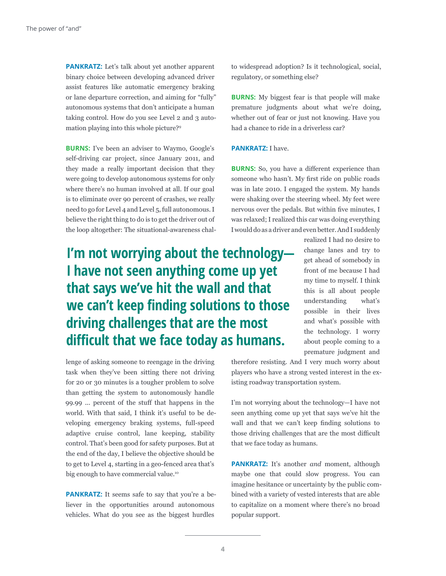**PANKRATZ:** Let's talk about yet another apparent binary choice between developing advanced driver assist features like automatic emergency braking or lane departure correction, and aiming for "fully" autonomous systems that don't anticipate a human taking control. How do you see Level 2 and 3 automation playing into this whole picture?9

**BURNS:** I've been an adviser to Waymo, Google's self-driving car project, since January 2011, and they made a really important decision that they were going to develop autonomous systems for only where there's no human involved at all. If our goal is to eliminate over 90 percent of crashes, we really need to go for Level 4 and Level 5, full autonomous. I believe the right thing to do is to get the driver out of the loop altogether: The situational-awareness chal-

### **I'm not worrying about the technology— I have not seen anything come up yet that says we've hit the wall and that we can't keep finding solutions to those driving challenges that are the most difficult that we face today as humans.**

lenge of asking someone to reengage in the driving task when they've been sitting there not driving for 20 or 30 minutes is a tougher problem to solve than getting the system to autonomously handle 99.99 ... percent of the stuff that happens in the world. With that said, I think it's useful to be developing emergency braking systems, full-speed adaptive cruise control, lane keeping, stability control. That's been good for safety purposes. But at the end of the day, I believe the objective should be to get to Level 4, starting in a geo-fenced area that's big enough to have commercial value.<sup>10</sup>

**PANKRATZ:** It seems safe to say that you're a believer in the opportunities around autonomous vehicles. What do you see as the biggest hurdles

to widespread adoption? Is it technological, social, regulatory, or something else?

**BURNS:** My biggest fear is that people will make premature judgments about what we're doing, whether out of fear or just not knowing. Have you had a chance to ride in a driverless car?

#### **PANKRATZ:** I have.

**BURNS:** So, you have a different experience than someone who hasn't. My first ride on public roads was in late 2010. I engaged the system. My hands were shaking over the steering wheel. My feet were nervous over the pedals. But within five minutes, I was relaxed; I realized this car was doing everything I would do as a driver and even better. And I suddenly

> realized I had no desire to change lanes and try to get ahead of somebody in front of me because I had my time to myself. I think this is all about people understanding what's possible in their lives and what's possible with the technology. I worry about people coming to a premature judgment and

therefore resisting. And I very much worry about players who have a strong vested interest in the existing roadway transportation system.

I'm not worrying about the technology—I have not seen anything come up yet that says we've hit the wall and that we can't keep finding solutions to those driving challenges that are the most difficult that we face today as humans.

**PANKRATZ:** It's another *and* moment, although maybe one that could slow progress. You can imagine hesitance or uncertainty by the public combined with a variety of vested interests that are able to capitalize on a moment where there's no broad popular support.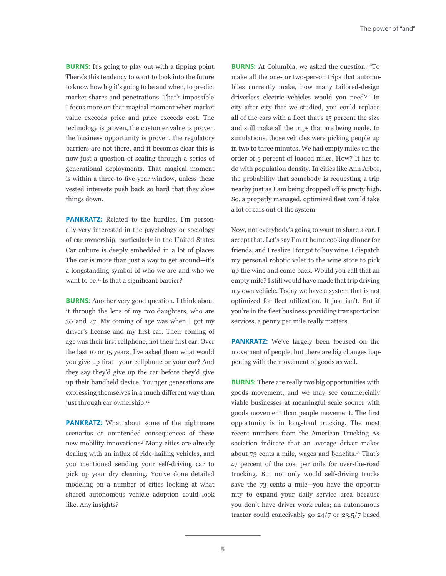**BURNS:** It's going to play out with a tipping point. There's this tendency to want to look into the future to know how big it's going to be and when, to predict market shares and penetrations. That's impossible. I focus more on that magical moment when market value exceeds price and price exceeds cost. The technology is proven, the customer value is proven, the business opportunity is proven, the regulatory barriers are not there, and it becomes clear this is now just a question of scaling through a series of generational deployments. That magical moment is within a three-to-five-year window, unless these vested interests push back so hard that they slow things down.

**PANKRATZ:** Related to the hurdles, I'm personally very interested in the psychology or sociology of car ownership, particularly in the United States. Car culture is deeply embedded in a lot of places. The car is more than just a way to get around—it's a longstanding symbol of who we are and who we want to be.<sup>11</sup> Is that a significant barrier?

**BURNS:** Another very good question. I think about it through the lens of my two daughters, who are 30 and 27. My coming of age was when I got my driver's license and my first car. Their coming of age was their first cellphone, not their first car. Over the last 10 or 15 years, I've asked them what would you give up first—your cellphone or your car? And they say they'd give up the car before they'd give up their handheld device. Younger generations are expressing themselves in a much different way than just through car ownership.<sup>12</sup>

**PANKRATZ:** What about some of the nightmare scenarios or unintended consequences of these new mobility innovations? Many cities are already dealing with an influx of ride-hailing vehicles, and you mentioned sending your self-driving car to pick up your dry cleaning. You've done detailed modeling on a number of cities looking at what shared autonomous vehicle adoption could look like. Any insights?

**BURNS:** At Columbia, we asked the question: "To make all the one- or two-person trips that automobiles currently make, how many tailored-design driverless electric vehicles would you need?" In city after city that we studied, you could replace all of the cars with a fleet that's 15 percent the size and still make all the trips that are being made. In simulations, those vehicles were picking people up in two to three minutes. We had empty miles on the order of 5 percent of loaded miles. How? It has to do with population density. In cities like Ann Arbor, the probability that somebody is requesting a trip nearby just as I am being dropped off is pretty high. So, a properly managed, optimized fleet would take a lot of cars out of the system.

Now, not everybody's going to want to share a car. I accept that. Let's say I'm at home cooking dinner for friends, and I realize I forgot to buy wine. I dispatch my personal robotic valet to the wine store to pick up the wine and come back. Would you call that an empty mile? I still would have made that trip driving my own vehicle. Today we have a system that is not optimized for fleet utilization. It just isn't. But if you're in the fleet business providing transportation services, a penny per mile really matters.

**PANKRATZ:** We've largely been focused on the movement of people, but there are big changes happening with the movement of goods as well.

**BURNS:** There are really two big opportunities with goods movement, and we may see commercially viable businesses at meaningful scale sooner with goods movement than people movement. The first opportunity is in long-haul trucking. The most recent numbers from the American Trucking Association indicate that an average driver makes about 73 cents a mile, wages and benefits.13 That's 47 percent of the cost per mile for over-the-road trucking. But not only would self-driving trucks save the 73 cents a mile—you have the opportunity to expand your daily service area because you don't have driver work rules; an autonomous tractor could conceivably go 24/7 or 23.5/7 based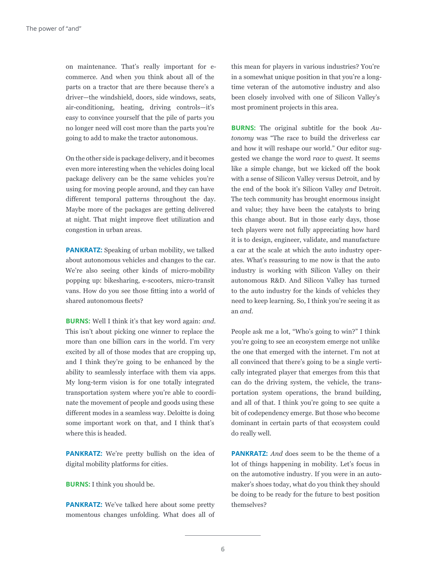on maintenance. That's really important for ecommerce. And when you think about all of the parts on a tractor that are there because there's a driver—the windshield, doors, side windows, seats, air-conditioning, heating, driving controls—it's easy to convince yourself that the pile of parts you no longer need will cost more than the parts you're going to add to make the tractor autonomous.

On the other side is package delivery, and it becomes even more interesting when the vehicles doing local package delivery can be the same vehicles you're using for moving people around, and they can have different temporal patterns throughout the day. Maybe more of the packages are getting delivered at night. That might improve fleet utilization and congestion in urban areas.

**PANKRATZ:** Speaking of urban mobility, we talked about autonomous vehicles and changes to the car. We're also seeing other kinds of micro-mobility popping up: bikesharing, e-scooters, micro-transit vans. How do you see those fitting into a world of shared autonomous fleets?

**BURNS:** Well I think it's that key word again: *and*. This isn't about picking one winner to replace the more than one billion cars in the world. I'm very excited by all of those modes that are cropping up, and I think they're going to be enhanced by the ability to seamlessly interface with them via apps. My long-term vision is for one totally integrated transportation system where you're able to coordinate the movement of people and goods using these different modes in a seamless way. Deloitte is doing some important work on that, and I think that's where this is headed.

**PANKRATZ:** We're pretty bullish on the idea of digital mobility platforms for cities.

**BURNS:** I think you should be.

**PANKRATZ:** We've talked here about some pretty momentous changes unfolding. What does all of

this mean for players in various industries? You're in a somewhat unique position in that you're a longtime veteran of the automotive industry and also been closely involved with one of Silicon Valley's most prominent projects in this area.

**BURNS:** The original subtitle for the book *Autonomy* was "The race to build the driverless car and how it will reshape our world." Our editor suggested we change the word *race* to *quest*. It seems like a simple change, but we kicked off the book with a sense of Silicon Valley versus Detroit, and by the end of the book it's Silicon Valley *and* Detroit. The tech community has brought enormous insight and value; they have been the catalysts to bring this change about. But in those early days, those tech players were not fully appreciating how hard it is to design, engineer, validate, and manufacture a car at the scale at which the auto industry operates. What's reassuring to me now is that the auto industry is working with Silicon Valley on their autonomous R&D. And Silicon Valley has turned to the auto industry for the kinds of vehicles they need to keep learning. So, I think you're seeing it as an *and*.

People ask me a lot, "Who's going to win?" I think you're going to see an ecosystem emerge not unlike the one that emerged with the internet. I'm not at all convinced that there's going to be a single vertically integrated player that emerges from this that can do the driving system, the vehicle, the transportation system operations, the brand building, and all of that. I think you're going to see quite a bit of codependency emerge. But those who become dominant in certain parts of that ecosystem could do really well.

**PANKRATZ:** *And* does seem to be the theme of a lot of things happening in mobility. Let's focus in on the automotive industry. If you were in an automaker's shoes today, what do you think they should be doing to be ready for the future to best position themselves?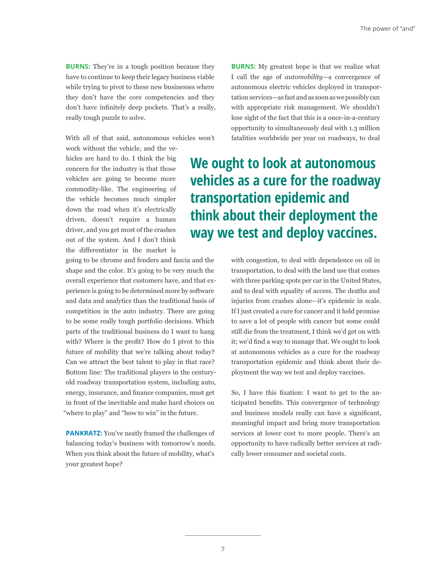**BURNS:** They're in a tough position because they have to continue to keep their legacy business viable while trying to pivot to these new businesses where they don't have the core competencies and they don't have infinitely deep pockets. That's a really, really tough puzzle to solve.

With all of that said, autonomous vehicles won't

work without the vehicle, and the vehicles are hard to do. I think the big concern for the industry is that those vehicles are going to become more commodity-like. The engineering of the vehicle becomes much simpler down the road when it's electrically driven, doesn't require a human driver, and you get most of the crashes out of the system. And I don't think the differentiator in the market is

going to be chrome and fenders and fascia and the shape and the color. It's going to be very much the overall experience that customers have, and that experience is going to be determined more by software and data and analytics than the traditional basis of competition in the auto industry. There are going to be some really tough portfolio decisions. Which parts of the traditional business do I want to hang with? Where is the profit? How do I pivot to this future of mobility that we're talking about today? Can we attract the best talent to play in that race? Bottom line: The traditional players in the centuryold roadway transportation system, including auto, energy, insurance, and finance companies, must get in front of the inevitable and make hard choices on "where to play" and "how to win" in the future.

**PANKRATZ:** You've neatly framed the challenges of balancing today's business with tomorrow's needs. When you think about the future of mobility, what's your greatest hope?

**BURNS:** My greatest hope is that we realize what I call the age of *automobility*—a convergence of autonomous electric vehicles deployed in transportation services—as fast and as soon as we possibly can with appropriate risk management. We shouldn't lose sight of the fact that this is a once-in-a-century opportunity to simultaneously deal with 1.3 million fatalities worldwide per year on roadways, to deal

## **We ought to look at autonomous vehicles as a cure for the roadway transportation epidemic and think about their deployment the way we test and deploy vaccines.**

with congestion, to deal with dependence on oil in transportation, to deal with the land use that comes with three parking spots per car in the United States, and to deal with equality of access. The deaths and injuries from crashes alone—it's epidemic in scale. If I just created a cure for cancer and it held promise to save a lot of people with cancer but some could still die from the treatment, I think we'd get on with it; we'd find a way to manage that. We ought to look at autonomous vehicles as a cure for the roadway transportation epidemic and think about their deployment the way we test and deploy vaccines.

So, I have this fixation: I want to get to the anticipated benefits. This convergence of technology and business models really can have a significant, meaningful impact and bring more transportation services at lower cost to more people. There's an opportunity to have radically better services at radically lower consumer and societal costs.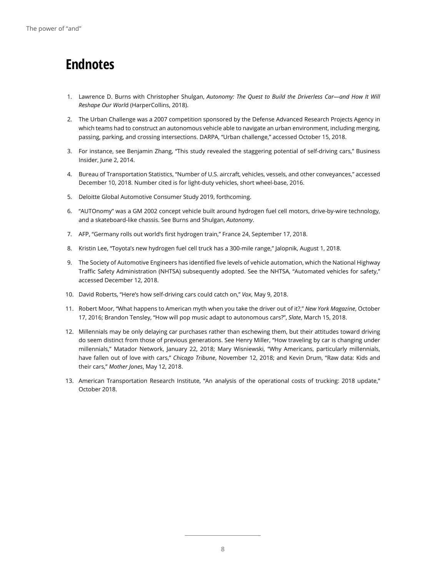### **Endnotes**

- 1. Lawrence D. Burns with Christopher Shulgan, *Autonomy: The Quest to Build the Driverless Car—and How It Will Reshape Our Worl*d (HarperCollins, 2018).
- 2. The Urban Challenge was a 2007 competition sponsored by the Defense Advanced Research Projects Agency in which teams had to construct an autonomous vehicle able to navigate an urban environment, including merging, passing, parking, and crossing intersections. DARPA, "Urban challenge," accessed October 15, 2018.
- 3. For instance, see Benjamin Zhang, "This study revealed the staggering potential of self-driving cars," Business Insider, June 2, 2014.
- 4. Bureau of Transportation Statistics, "Number of U.S. aircraft, vehicles, vessels, and other conveyances," accessed December 10, 2018. Number cited is for light-duty vehicles, short wheel-base, 2016.
- 5. Deloitte Global Automotive Consumer Study 2019, forthcoming.
- 6. "AUTOnomy" was a GM 2002 concept vehicle built around hydrogen fuel cell motors, drive-by-wire technology, and a skateboard-like chassis. See Burns and Shulgan, *Autonomy*.
- 7. AFP, "Germany rolls out world's first hydrogen train," France 24, September 17, 2018.
- 8. Kristin Lee, "Toyota's new hydrogen fuel cell truck has a 300-mile range," Jalopnik, August 1, 2018.
- 9. The Society of Automotive Engineers has identified five levels of vehicle automation, which the National Highway Traffic Safety Administration (NHTSA) subsequently adopted. See the NHTSA, "Automated vehicles for safety," accessed December 12, 2018.
- 10. David Roberts, "Here's how self-driving cars could catch on," *Vox*, May 9, 2018.
- 11. Robert Moor, "What happens to American myth when you take the driver out of it?," *New York Magazine*, October 17, 2016; Brandon Tensley, "How will pop music adapt to autonomous cars?", *Slate*, March 15, 2018.
- 12. Millennials may be only delaying car purchases rather than eschewing them, but their attitudes toward driving do seem distinct from those of previous generations. See Henry Miller, "How traveling by car is changing under millennials," Matador Network, January 22, 2018; Mary Wisniewski, "Why Americans, particularly millennials, have fallen out of love with cars," *Chicago Tribune*, November 12, 2018; and Kevin Drum, "Raw data: Kids and their cars," *Mother Jones*, May 12, 2018.
- 13. American Transportation Research Institute, "An analysis of the operational costs of trucking: 2018 update," October 2018.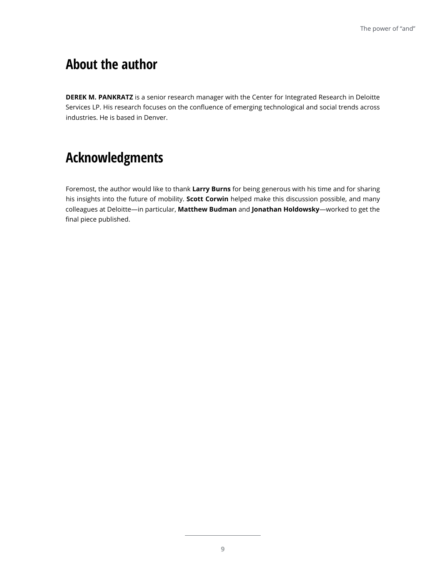### **About the author**

**DEREK M. PANKRATZ** is a senior research manager with the Center for Integrated Research in Deloitte Services LP. His research focuses on the confluence of emerging technological and social trends across industries. He is based in Denver.

### **Acknowledgments**

Foremost, the author would like to thank **Larry Burns** for being generous with his time and for sharing his insights into the future of mobility. **Scott Corwin** helped make this discussion possible, and many colleagues at Deloitte—in particular, **Matthew Budman** and **Jonathan Holdowsky**—worked to get the final piece published.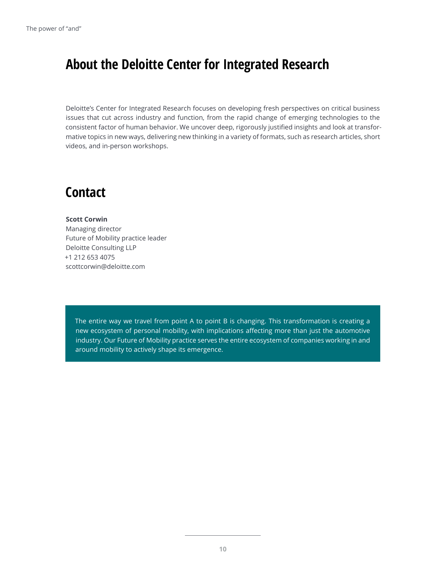### **About the Deloitte Center for Integrated Research**

Deloitte's Center for Integrated Research focuses on developing fresh perspectives on critical business issues that cut across industry and function, from the rapid change of emerging technologies to the consistent factor of human behavior. We uncover deep, rigorously justified insights and look at transformative topics in new ways, delivering new thinking in a variety of formats, such as research articles, short videos, and in-person workshops.

#### **Contact**

#### **Scott Corwin**

Managing director Future of Mobility practice leader Deloitte Consulting LLP +1 212 653 4075 scottcorwin@deloitte.com

The entire way we travel from point A to point B is changing. This transformation is creating a new ecosystem of personal mobility, with implications affecting more than just the automotive industry. Our Future of Mobility practice serves the entire ecosystem of companies working in and around mobility to actively shape its emergence.